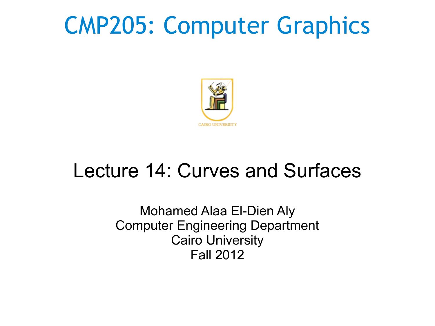## CMP205: Computer Graphics



#### Lecture 14: Curves and Surfaces

Mohamed Alaa El-Dien Aly Computer Engineering Department Cairo University Fall 2012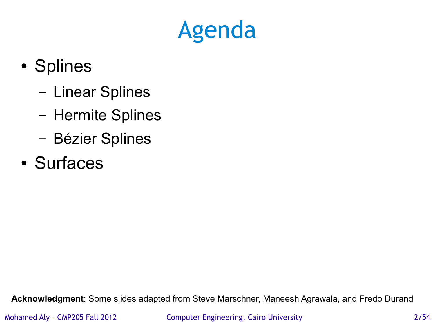## Agenda

- Splines
	- Linear Splines
	- Hermite Splines
	- Bézier Splines
- Surfaces

**Acknowledgment**: Some slides adapted from Steve Marschner, Maneesh Agrawala, and Fredo Durand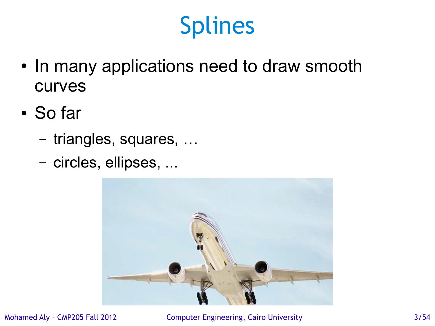- In many applications need to draw smooth curves
- So far
	- triangles, squares, …
	- circles, ellipses, ...



Mohamed Aly - CMP205 Fall 2012 Computer Engineering, Cairo University 3/54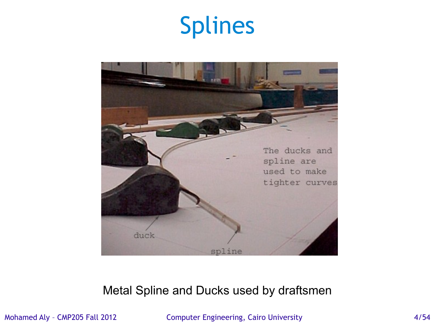

#### Metal Spline and Ducks used by draftsmen

Mohamed Aly - CMP205 Fall 2012 Computer Engineering, Cairo University 61 Also and 4/54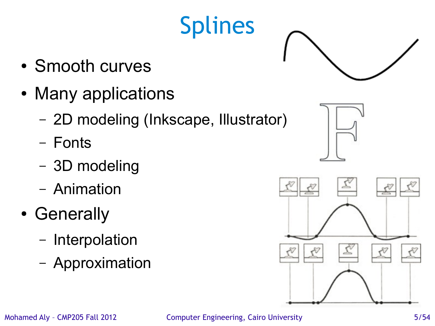#### • Smooth curves

- Many applications
	- 2D modeling (Inkscape, Illustrator)
	- Fonts
	- 3D modeling
	- Animation
- Generally
	- Interpolation
	- Approximation

Splines



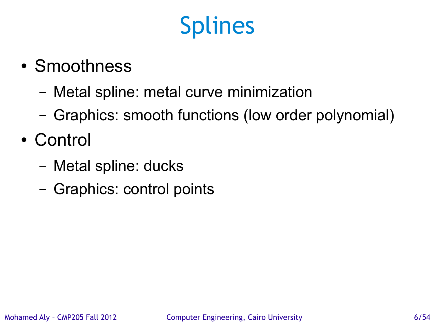- Smoothness
	- Metal spline: metal curve minimization
	- Graphics: smooth functions (low order polynomial)
- Control
	- Metal spline: ducks
	- Graphics: control points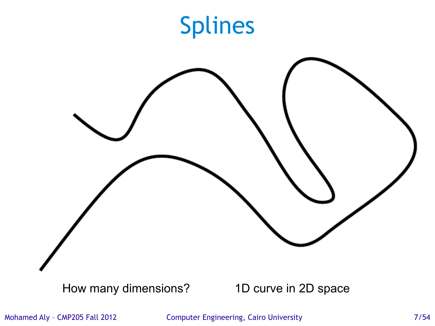

Mohamed Aly - CMP205 Fall 2012 Computer Engineering, Cairo University 7/54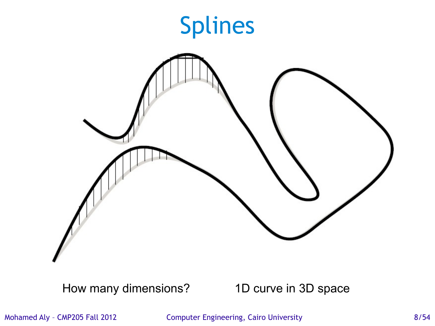

How many dimensions? 1D curve in 3D space

Mohamed Aly - CMP205 Fall 2012 Computer Engineering, Cairo University 6/54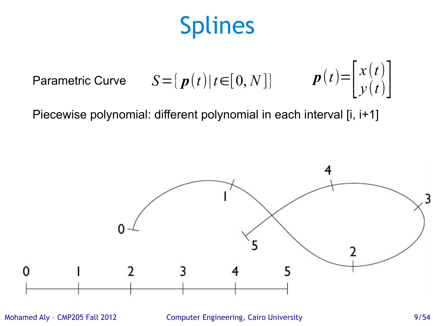$$
\text{Parametric Curve} \qquad S = \{ \, \boldsymbol{p}(t) | t \in [0, N] \} \qquad \qquad \boldsymbol{p}(t) = \begin{bmatrix} x(t) \\ y(t) \end{bmatrix}
$$

Piecewise polynomial: different polynomial in each interval [i, i+1]



Mohamed Aly - CMP205 Fall 2012 Computer Engineering, Cairo University 69/54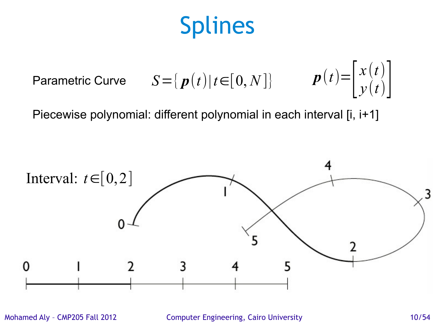$$
\text{Parametric Curve} \qquad S = \{ \, \bm{p}(t) | t \in [0, N] \} \qquad \quad \bm{p}(t) = \begin{bmatrix} x(t) \\ y(t) \end{bmatrix}
$$

Piecewise polynomial: different polynomial in each interval [i, i+1]



Mohamed Aly - CMP205 Fall 2012 Computer Engineering, Cairo University 10/54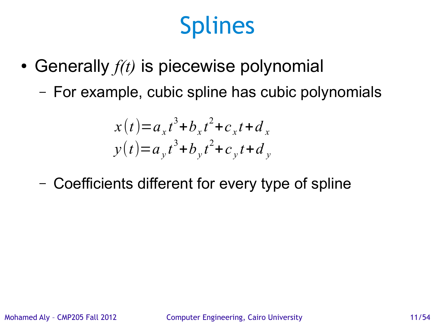- Generally  $f(t)$  is piecewise polynomial
	- For example, cubic spline has cubic polynomials

$$
x(t) = a_x t^3 + b_x t^2 + c_x t + d_x
$$
  

$$
y(t) = a_y t^3 + b_y t^2 + c_y t + d_y
$$

– Coefficients different for every type of spline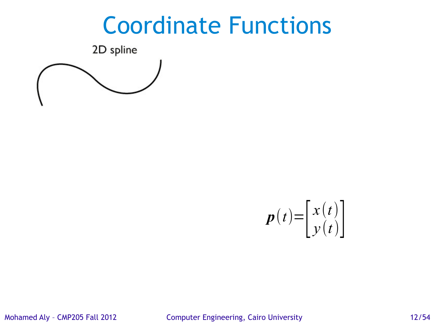#### Coordinate Functions

2D spline





Mohamed Aly – CMP205 Fall 2012 Computer Engineering, Cairo University 12/54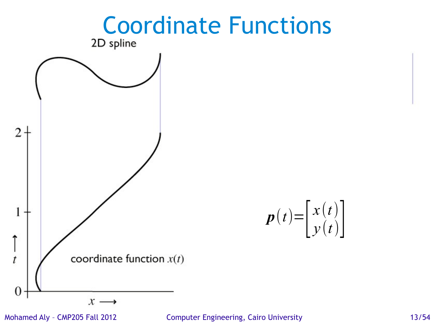

Mohamed Aly – CMP205 Fall 2012 Computer Engineering, Cairo University 13/54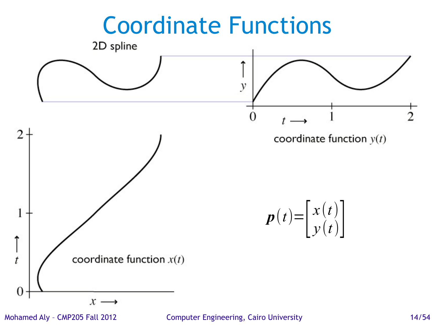

Mohamed Aly – CMP205 Fall 2012 Computer Engineering, Cairo University 14/54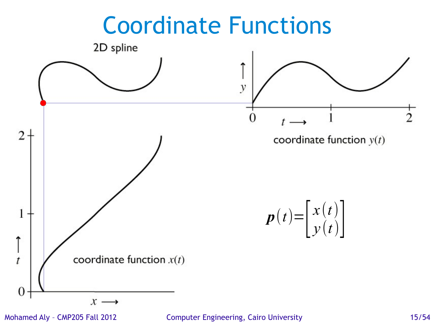#### Coordinate Functions



Mohamed Aly – CMP205 Fall 2012 Computer Engineering, Cairo University 15/54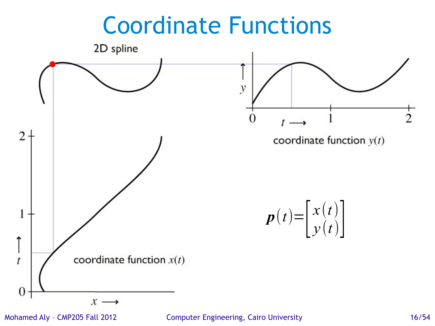# Coordinate Functions 2D spline y  $\overline{2}$  $\Omega$ coordinate function  $y(t)$ *x* (*t*)  $p(t)=\begin{bmatrix} 3 \ 1 \end{bmatrix}$  $y(t)$ coordinate function  $x(t)$

 $x \rightarrow$ 

1

↑

 $\dot{t}$ 

 $\boldsymbol{0}$ 

Mohamed Aly – CMP205 Fall 2012 Computer Engineering, Cairo University 16/54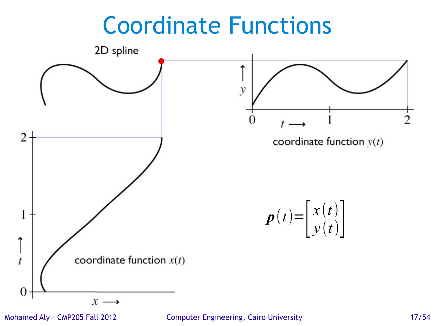#### Coordinate Functions



Mohamed Aly – CMP205 Fall 2012 Computer Engineering, Cairo University 17/54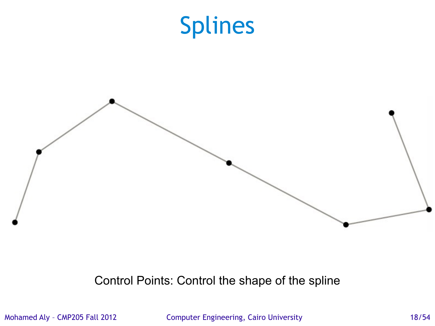

Control Points: Control the shape of the spline

Mohamed Aly - CMP205 Fall 2012 Computer Engineering, Cairo University 18/54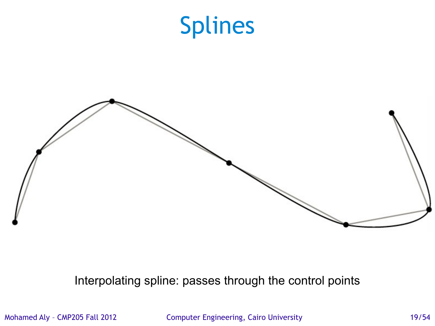

Interpolating spline: passes through the control points

Mohamed Aly - CMP205 Fall 2012 Computer Engineering, Cairo University 19/54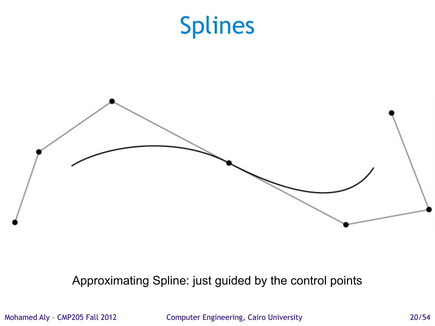

Approximating Spline: just guided by the control points

Mohamed Aly – CMP205 Fall 2012 Computer Engineering, Cairo University 20/54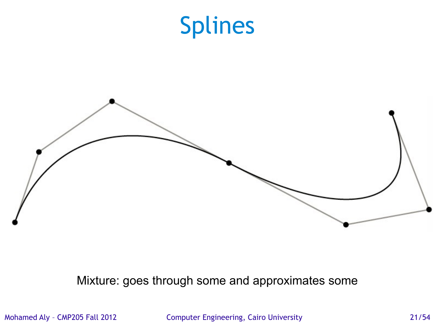

Mixture: goes through some and approximates some

Mohamed Aly – CMP205 Fall 2012 Computer Engineering, Cairo University 21/54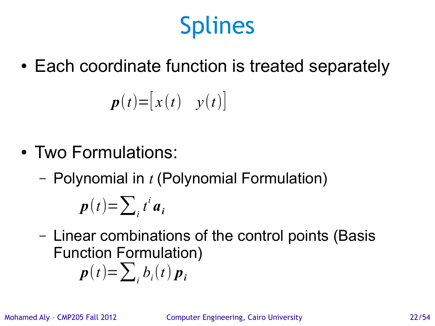• Each coordinate function is treated separately

$$
\boldsymbol{p}(t) = \begin{bmatrix} x(t) & y(t) \end{bmatrix}
$$

- Two Formulations:
	- Polynomial in *t* (Polynomial Formulation)

$$
p(t) = \sum_i t^i a_i
$$

– Linear combinations of the control points (Basis Function Formulation)

 $p(t) = \sum_{i} b_{i}(t) p_{i}$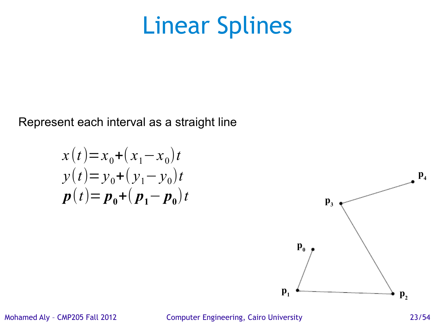Represent each interval as a straight line

$$
x(t) = x_0 + (x_1 - x_0)t
$$
  
\n
$$
y(t) = y_0 + (y_1 - y_0)t
$$
  
\n
$$
p(t) = p_0 + (p_1 - p_0)t
$$



Mohamed Aly – CMP205 Fall 2012 Computer Engineering, Cairo University 23/54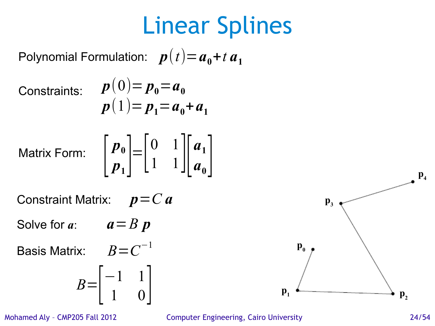Polynomial Formulation:  $p(t)=a_{0}+t$   $a_{1}$ 

Constraints:

$$
p(0) = p_0 = a_0
$$
  

$$
p(1) = p_1 = a_0 + a_1
$$

Matrix Form:

$$
\begin{bmatrix} p_0 \\ p_1 \end{bmatrix} = \begin{bmatrix} 0 & 1 \\ 1 & 1 \end{bmatrix} \begin{bmatrix} a_1 \\ a_0 \end{bmatrix}
$$

Constraint Matrix: *p*=*C a*

Solve for *a*:  $a = B p$ 

Basis Matrix:  $B$   $\!=$   $\!C^{-1}$ 

$$
B = \begin{bmatrix} -1 & 1 \\ 1 & 0 \end{bmatrix}
$$

Mohamed Aly – CMP205 Fall 2012 Computer Engineering, Cairo University 24/54

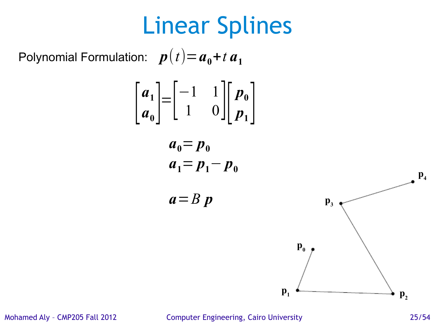Polynomial Formulation:  $p(t)=a_{0}+t$   $a_{1}$ 

$$
\begin{bmatrix}\n a_1 \\
 a_0\n\end{bmatrix} =\n\begin{bmatrix}\n -1 & 1 \\
 1 & 0\n\end{bmatrix}\n\begin{bmatrix}\n p_0 \\
 p_1\n\end{bmatrix}
$$
\n
$$
a_0 = p_0
$$
\n
$$
a_1 = p_1 - p_0
$$
\n
$$
a = B p
$$
\n
$$
p_1
$$
\n
$$
p_2
$$
\n
$$
p_1
$$
\n
$$
p_2
$$

Mohamed Aly – CMP205 Fall 2012 Computer Engineering, Cairo University 25/54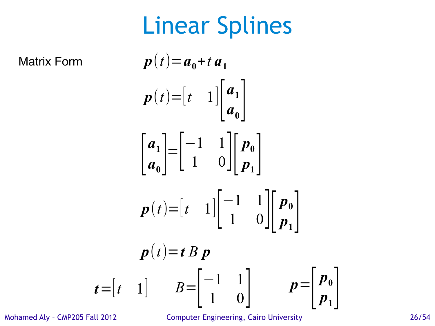Matrix Form

$$
p(t)=a_0+t a_1
$$
  
\n
$$
p(t)=\begin{bmatrix} t & 1 \end{bmatrix} \begin{bmatrix} a_1 \\ a_0 \end{bmatrix}
$$
  
\n
$$
\begin{bmatrix} a_1 \\ a_0 \end{bmatrix} = \begin{bmatrix} -1 & 1 \\ 1 & 0 \end{bmatrix} \begin{bmatrix} p_0 \\ p_1 \end{bmatrix}
$$
  
\n
$$
p(t)=\begin{bmatrix} t & 1 \end{bmatrix} \begin{bmatrix} -1 & 1 \\ 1 & 0 \end{bmatrix} \begin{bmatrix} p_0 \\ p_1 \end{bmatrix}
$$
  
\n
$$
p(t)=t B p
$$
  
\n
$$
= \begin{bmatrix} t & 1 \end{bmatrix} \qquad B = \begin{bmatrix} -1 & 1 \\ 1 & 0 \end{bmatrix} \qquad p = \begin{bmatrix} p_0 \\ p_1 \end{bmatrix}
$$

*t*

Mohamed Aly - CMP205 Fall 2012 Computer Engineering, Cairo University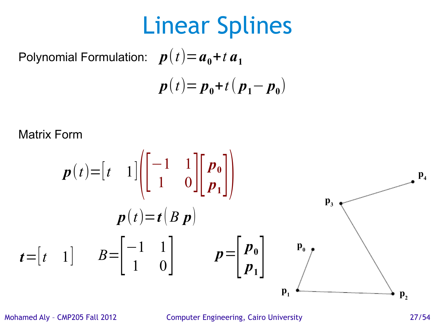Polynomial Formulation:  $p(t)=a_{0}+t$   $a_{1}$  $p(t) = p_0 + t(p_1 - p_0)$ 

Matrix Form

$$
p(t) = \begin{bmatrix} t & 1 \end{bmatrix} \begin{bmatrix} -1 & 1 \\ 1 & 0 \end{bmatrix} \begin{bmatrix} p_0 \\ p_1 \end{bmatrix}
$$
  
\n
$$
p(t) = t (B p)
$$
  
\n
$$
t = \begin{bmatrix} t & 1 \end{bmatrix} \qquad B = \begin{bmatrix} -1 & 1 \\ 1 & 0 \end{bmatrix} \qquad p = \begin{bmatrix} p_0 \\ p_1 \end{bmatrix} \qquad \begin{matrix} p_0 \\ p_2 \end{matrix}
$$
  
\n
$$
p_1
$$

Mohamed Aly – CMP205 Fall 2012 Computer Engineering, Cairo University 27/54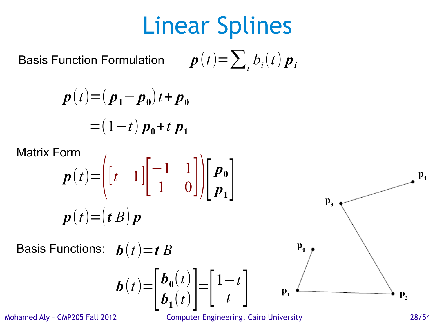Basis Function Formulation  $p(t) = \sum_{i} b_{i}(t) p_{i}$ 

$$
p(t) = (p_1 - p_0)t + p_0
$$
  
= (1-t) p\_0 + t p\_1

 $\overline{1}$ 

Matrix Form

$$
p(t) = \left( \begin{bmatrix} t & 1 \end{bmatrix} \begin{bmatrix} -1 & 1 \\ 1 & 0 \end{bmatrix} \right) \begin{bmatrix} p_0 \\ p_1 \end{bmatrix}
$$

$$
p(t) = (t B) p
$$

 $\boldsymbol{b}(t)=$ 

 $\vert$ 

 $\bm{b}_{\bm{0}}(t)$ 

 $\begin{bmatrix} \boldsymbol{v}_0(t) \\ \boldsymbol{b}_1(t) \end{bmatrix} = \begin{bmatrix} 1 \\ 1 \end{bmatrix}$ 

Basis Functions:  $\boldsymbol{b}(t) = t$  *B* 



Mohamed Aly – CMP205 Fall 2012 Computer Engineering, Cairo University 28/54

 $\begin{array}{c} \begin{array}{c} \iota \\ \n\end{array} \end{array}$ 

1−*t*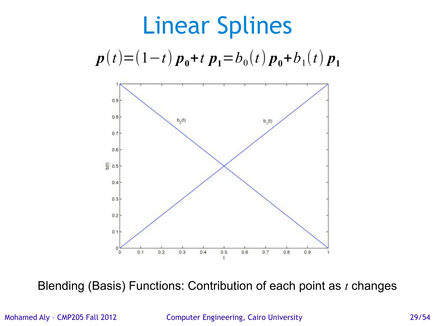



Blending (Basis) Functions: Contribution of each point as *t* changes

Mohamed Aly – CMP205 Fall 2012 Computer Engineering, Cairo University 29/54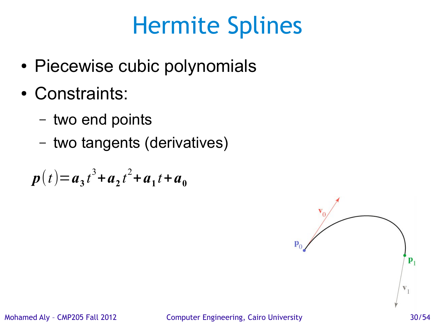- Piecewise cubic polynomials
- Constraints:
	- two end points
	- two tangents (derivatives)

$$
p(t) = a_3 t^3 + a_2 t^2 + a_1 t + a_0
$$

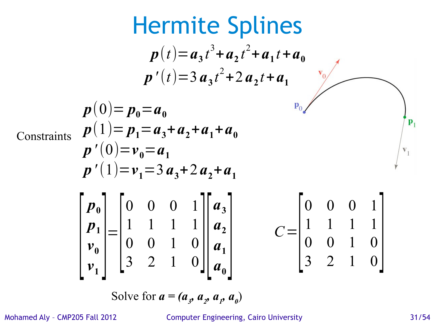Hermite Splines  
\n
$$
p(t) = a_3 t^3 + a_2 t^2 + a_1 t + a_0
$$
\n
$$
p'(t) = 3 a_3 t^2 + 2 a_2 t + a_1
$$
\n
$$
p(0) = p_0 = a_0
$$
\n
$$
p(1) = p_1 = a_3 + a_2 + a_1 + a_0
$$
\n
$$
p'(0) = v_0 = a_1
$$
\n
$$
p'(1) = v_1 = 3 a_3 + 2 a_2 + a_1
$$
\n
$$
p_0
$$
\n
$$
\begin{bmatrix} p_0 \\ p_1 \\ p_2 \\ p_3 \\ p_4 \end{bmatrix} = \begin{bmatrix} 0 & 0 & 0 & 1 \\ 1 & 1 & 1 & 1 \\ 0 & 0 & 1 & 0 \\ 3 & 2 & 1 & 0 \end{bmatrix} \begin{bmatrix} a_3 \\ a_2 \\ a_1 \\ a_0 \end{bmatrix}
$$
\n
$$
C = \begin{bmatrix} 0 & 0 & 0 & 1 \\ 1 & 1 & 1 & 1 \\ 0 & 0 & 1 & 0 \\ 3 & 2 & 1 & 0 \end{bmatrix}
$$

Solve for  $a = (a_3, a_2, a_1, a_0)$ 

Mohamed Aly – CMP205 Fall 2012 Computer Engineering, Cairo University 31/54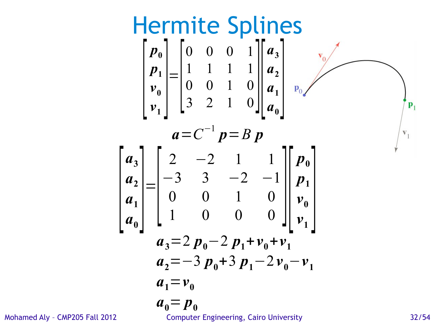Hermite Splines  
\n
$$
\begin{bmatrix}\np_0 \\
p_1 \\
v_0 \\
v_1\n\end{bmatrix} = \begin{bmatrix}\n0 & 0 & 0 & 1 & |a_3| & |a_2| & |a_3| & |a_4| & |a_2| & |a_3| & |a_4| & |a_2| & |a_3| & |a_4| & |a_4| & |a_5| & |a_6| & |a_6| & |a_6| & |a_7| & |a_7| & |a_8| & |a_8| & |a_9| & |a_9| & |a_9| & |a_1| & |a_2| & |a_3| & |a_3| & |a_3| & |a_3| & |a_3| & |a_3| & |a_3| & |a_3| & |a_3| & |a_3| & |a_3| & |a_3| & |a_3| & |a_3| & |a_3| & |a_3| & |a_3| & |a_3| & |a_3| & |a_3| & |a_3| & |a_3| & |a_3| & |a_3| & |a_3| & |a_3| & |a_3| & |a_3| & |a_3| & |a_3| & |a_3| & |a_3| & |a_3| & |a_3| & |a_3| & |a_3| & |a_3| & |a_3| & |a_3| & |a_3| & |a_3| & |a_3| & |a_3| & |a_3| & |a_3| & |a_3| & |a_3| & |a_3| & |a_3| & |a_3| & |a_3| & |a_3| & |a_3| & |a_3| & |a_3| & |a_3| & |a_3| & |a_3| & |a_3| & |a_3| & |a_3| & |a_3| & |a_3| & |a_3| & |a_3| & |a_3| & |a_3| & |a_3| & |a_3| & |a_3| & |a_3| & |a_3| & |a_3| & |a_3| & |a_3| & |a_3| & |a_3| & |a_3| & |a_3| & |a_3| & |a_3| & |a_3| & |a_3| & |a_3| & |a_3| & |a_3| & |a_3| & |a_3| & |a_3| & |a_3| & |a_3| & |a_3| & |a_3| & |a_
$$

Mohamed Aly - CMP205 Fall 2012 Computer Engineering, Cairo University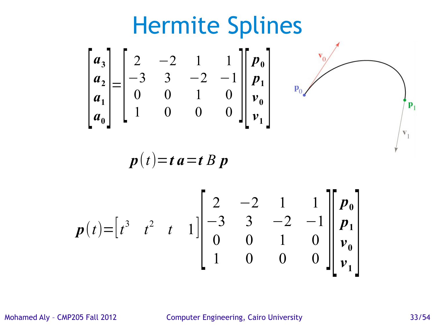

Mohamed Aly – CMP205 Fall 2012 Computer Engineering, Cairo University 33/54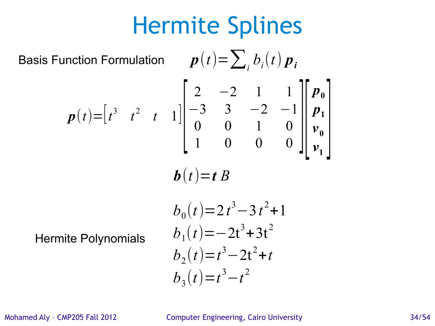Basis Function Formulation

\n
$$
p(t) = \sum_{i} b_{i}(t) p_{i}
$$
\n
$$
p(t) = \begin{bmatrix} t^{3} & t^{2} & t & 1 \end{bmatrix} \begin{bmatrix} 2 & -2 & 1 & 1 \\ -3 & 3 & -2 & -1 \\ 0 & 0 & 1 & 0 \\ 1 & 0 & 0 & 0 \end{bmatrix} \begin{bmatrix} p_{0} \\ p_{1} \\ p_{0} \\ p_{1} \\ p_{1} \end{bmatrix}
$$
\n
$$
b(t) = t B
$$
\n
$$
b_{0}(t) = 2t^{3} - 3t^{2} + 1
$$
\nHermite Polynomials

\n
$$
b_{1}(t) = -2t^{3} + 3t^{2}
$$
\n
$$
b_{2}(t) = t^{3} - 2t^{2} + t
$$
\n
$$
b_{3}(t) = t^{3} - t^{2}
$$

Mohamed Aly – CMP205 Fall 2012 Computer Engineering, Cairo University 34/54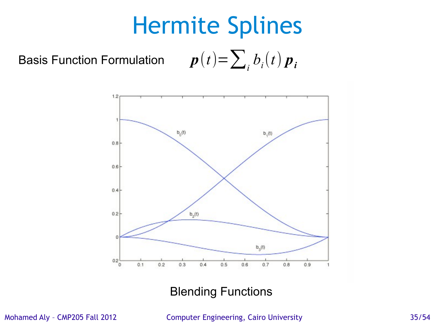Basis Function Formulation  $b_i(t)$   $\boldsymbol{p}_i$ 



#### Blending Functions

Mohamed Aly – CMP205 Fall 2012 Computer Engineering, Cairo University 35/54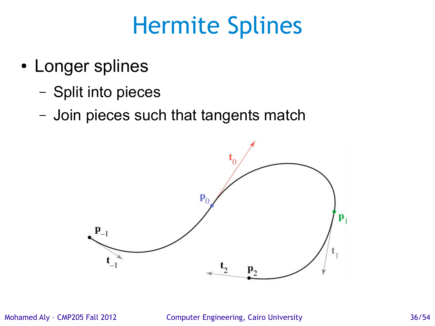- Longer splines
	- Split into pieces
	- Join pieces such that tangents match

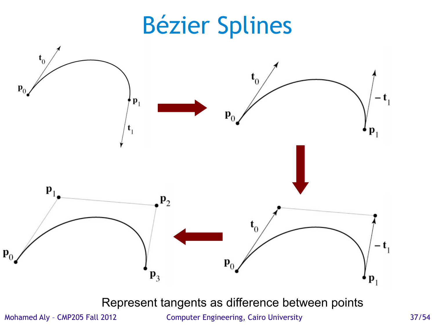## Bézier Splines



Represent tangents as difference between points

Mohamed Aly – CMP205 Fall 2012 Computer Engineering, Cairo University 37/54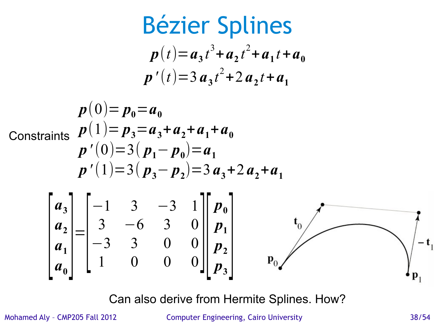$$
\text{Bézier Splines}
$$
\n
$$
p(t) = a_3 t^3 + a_2 t^2 + a_1 t + a_0
$$
\n
$$
p'(t) = 3 a_3 t^2 + 2 a_2 t + a_1
$$
\n
$$
p(0) = p_0 = a_0
$$
\n
$$
\text{Constraints: } p(1) = p_3 = a_3 + a_2 + a_1 + a_0
$$
\n
$$
p'(0) = 3(p_1 - p_0) = a_1
$$
\n
$$
p'(1) = 3(p_3 - p_2) = 3 a_3 + 2 a_2 + a_1
$$
\n
$$
\begin{bmatrix} a_3 \\ a_2 \\ a_3 \\ a_1 \\ a_0 \end{bmatrix} = \begin{bmatrix} -1 & 3 & -3 & 1 \\ 3 & -6 & 3 & 0 \\ -3 & 3 & 0 & 0 \\ 1 & 0 & 0 & 0 \end{bmatrix} \begin{bmatrix} p_0 \\ p_1 \\ p_2 \\ p_3 \end{bmatrix}
$$
\n
$$
p_0
$$
\n
$$
p_0
$$

Can also derive from Hermite Splines. How?

Mohamed Aly – CMP205 Fall 2012 Computer Engineering, Cairo University 38/54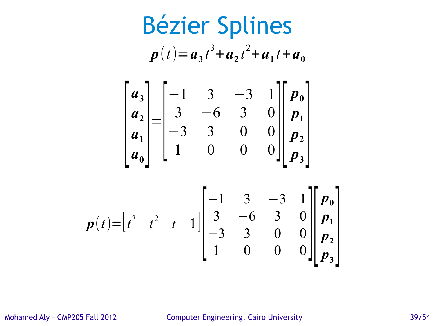Bézier Splines  $p(t)=$  $\begin{bmatrix} t^3 & t^2 & t & 1 \end{bmatrix} \begin{bmatrix} 3 & 3 \ -3 & 2 & t & 1 \end{bmatrix}$  $-1$  3  $-3$  1  $3 -6 3 0$  $\begin{array}{ccc|c} -3 & 3 & 0 & 0 & p_2 \\ 1 & 0 & 0 & 0 & p_3 \end{array}$ *p***0** *p***1** *p***2**  $\begin{bmatrix} p_2 \\ p_3 \end{bmatrix}$  $p(t) = a_3 t^3 + a_2 t^2 + a_1 t + a_0$  $\left|\frac{a_1}{a}\right|$  $a_3$  $a_{2}$  $a_1$  $\begin{bmatrix} a_1 \\ a_0 \end{bmatrix}$ =  $\begin{bmatrix} -3 \\ 1 \end{bmatrix}$  $-1$  3  $-3$  1  $3 -6 3 0$  $\begin{array}{ccc|c} -3 & 3 & 0 & 0 & p_2 \\ 1 & 0 & 0 & 0 & p_2 \end{array}$ *p***0**  $p_1$ *p***2**  $\begin{bmatrix} p & 2 \\ p & 3 \end{bmatrix}$ 

Mohamed Aly - CMP205 Fall 2012 Computer Engineering, Cairo University 39/54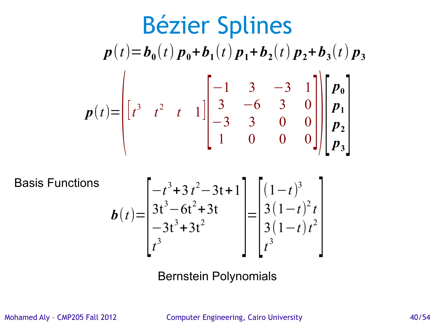$$
p(t)=b_0(t)p_0+b_1(t)p_1+b_2(t)p_2+b_3(t)p_3
$$
  

$$
p(t)=\begin{bmatrix} -1 & 3 & -3 & 1 \\ t^3 & t^2 & t & 1 \end{bmatrix} \begin{bmatrix} -1 & 3 & -3 & 1 \\ 3 & -6 & 3 & 0 \\ -3 & 3 & 0 & 0 \\ 1 & 0 & 0 & 0 \end{bmatrix} \begin{bmatrix} p_0 \\ p_1 \\ p_2 \\ p_3 \end{bmatrix}
$$

Basis Functions

$$
\boldsymbol{b}(t) = \begin{bmatrix} -t^3 + 3t^2 - 3t + 1 \\ 3t^3 - 6t^2 + 3t \\ -3t^3 + 3t^2 \end{bmatrix} = \begin{bmatrix} (1-t)^3 \\ 3(1-t)^2 t \\ 3(1-t)^2 \\ t^3 \end{bmatrix}
$$

 $\overline{\phantom{a}}$ 

Bernstein Polynomials

Mohamed Aly – CMP205 Fall 2012 Computer Engineering, Cairo University 40/54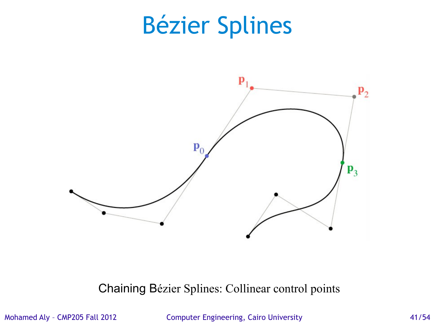## Bézier Splines



Chaining Bézier Splines: Collinear control points

Mohamed Aly - CMP205 Fall 2012 Computer Engineering, Cairo University 41/54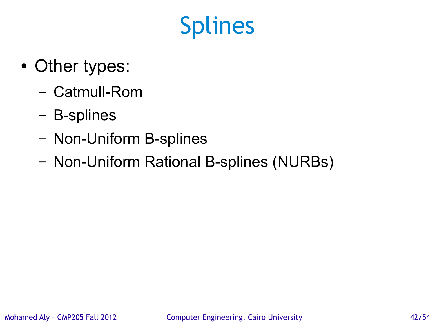- Other types:
	- Catmull-Rom
	- B-splines
	- Non-Uniform B-splines
	- Non-Uniform Rational B-splines (NURBs)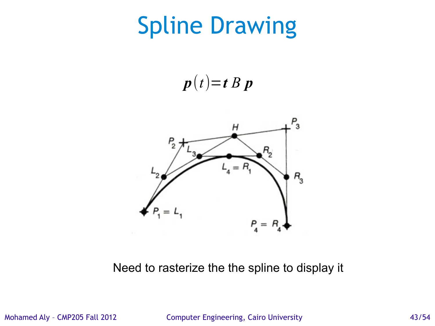## Spline Drawing

 $p(t)=t B p$ 



Need to rasterize the the spline to display it

Mohamed Aly – CMP205 Fall 2012 Computer Engineering, Cairo University 43/54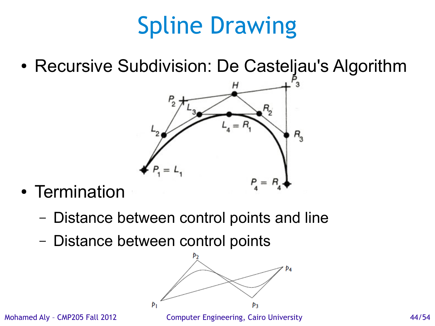# Spline Drawing

• Recursive Subdivision: De Casteljau's Algorithm



- Termination
	- Distance between control points and line
	- Distance between control points

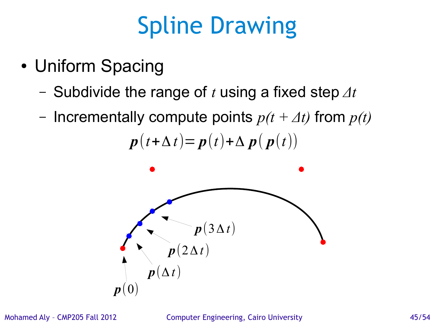## Spline Drawing

- Uniform Spacing
	- Subdivide the range of *t* using a fixed step *Δt*
	- Incrementally compute points *p(t + Δt)* from *p(t)*

 $p(t+\Delta t) = p(t) + \Delta p(p(t))$ 



Mohamed Aly – CMP205 Fall 2012 Computer Engineering, Cairo University 45/54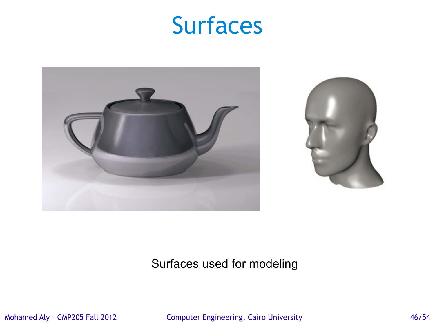#### Surfaces



#### Surfaces used for modeling

Mohamed Aly – CMP205 Fall 2012 Computer Engineering, Cairo University 46/54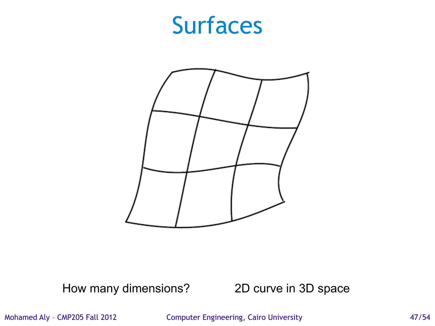#### Surfaces



How many dimensions? 2D curve in 3D space

Mohamed Aly – CMP205 Fall 2012 Computer Engineering, Cairo University 47/54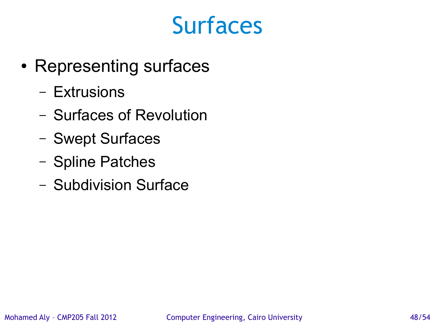#### Surfaces

- Representing surfaces
	- Extrusions
	- Surfaces of Revolution
	- Swept Surfaces
	- Spline Patches
	- Subdivision Surface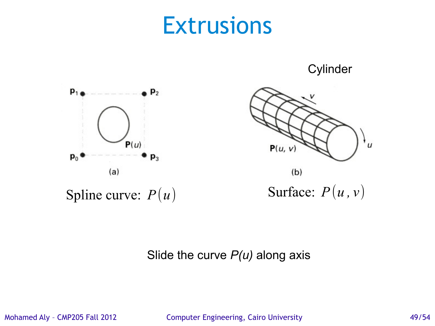#### **Extrusions**

**Cylinder** 





Slide the curve *P(u)* along axis

Mohamed Aly - CMP205 Fall 2012 Computer Engineering, Cairo University 49/54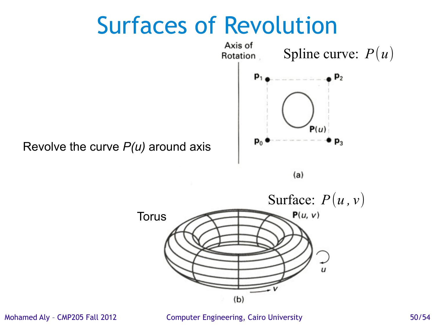#### Surfaces of Revolution



 $(a)$ 



Mohamed Aly - CMP205 Fall 2012 Computer Engineering, Cairo University 50/54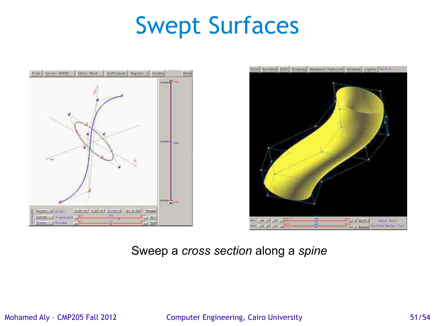### Swept Surfaces





#### Sweep a *cross section* along a *spine*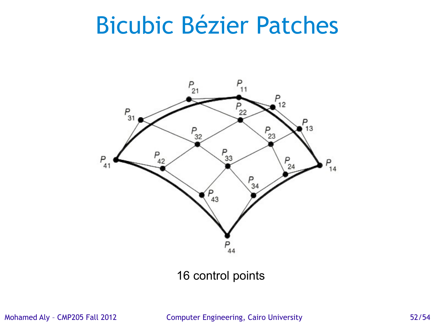#### Bicubic Bézier Patches



16 control points

Mohamed Aly – CMP205 Fall 2012 Computer Engineering, Cairo University 52/54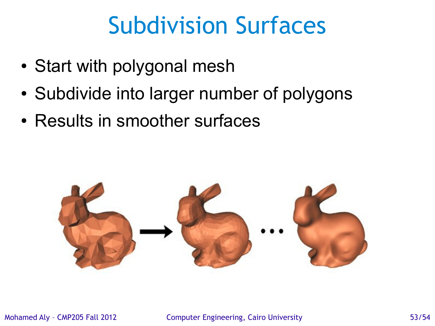### Subdivision Surfaces

- Start with polygonal mesh
- Subdivide into larger number of polygons
- Results in smoother surfaces